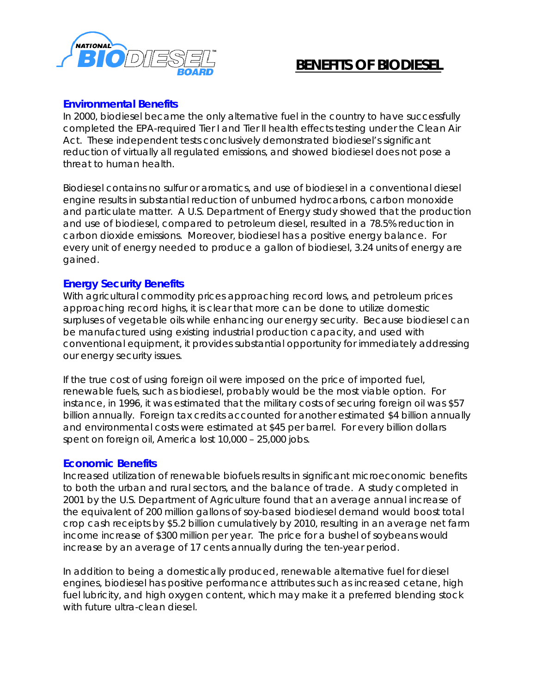

# **BENEFITS OF BIODIESEL**

### **Environmental Benefits**

In 2000, biodiesel became the only alternative fuel in the country to have successfully completed the EPA-required Tier I and Tier II health effects testing under the Clean Air Act. These independent tests conclusively demonstrated biodiesel's significant reduction of virtually all regulated emissions, and showed biodiesel does not pose a threat to human health.

Biodiesel contains no sulfur or aromatics, and use of biodiesel in a conventional diesel engine results in substantial reduction of unburned hydrocarbons, carbon monoxide and particulate matter. A U.S. Department of Energy study showed that the production and use of biodiesel, compared to petroleum diesel, resulted in a 78.5% reduction in carbon dioxide emissions. Moreover, biodiesel has a positive energy balance. For every unit of energy needed to produce a gallon of biodiesel, 3.24 units of energy are gained.

## **Energy Security Benefits**

With agricultural commodity prices approaching record lows, and petroleum prices approaching record highs, it is clear that more can be done to utilize domestic surpluses of vegetable oils while enhancing our energy security. Because biodiesel can be manufactured using existing industrial production capacity, and used with conventional equipment, it provides substantial opportunity for *immediately* addressing our energy security issues.

If the true cost of using foreign oil were imposed on the price of imported fuel, renewable fuels, such as biodiesel, probably would be the most viable option. For instance, in 1996, it was estimated that the military costs of securing foreign oil was \$57 billion annually. Foreign tax credits accounted for another estimated \$4 billion annually and environmental costs were estimated at \$45 per barrel. For every billion dollars spent on foreign oil, America lost 10,000 – 25,000 jobs.

#### **Economic Benefits**

Increased utilization of renewable biofuels results in significant microeconomic benefits to both the urban and rural sectors, and the balance of trade. A study completed in 2001 by the U.S. Department of Agriculture found that an average annual increase of the equivalent of 200 million gallons of soy-based biodiesel demand would boost total crop cash receipts by \$5.2 billion cumulatively by 2010, resulting in an average net farm income increase of \$300 million per year. The price for a bushel of soybeans would increase by an average of 17 cents annually during the ten-year period.

In addition to being a domestically produced, renewable alternative fuel for diesel engines, biodiesel has positive performance attributes such as increased cetane, high fuel lubricity, and high oxygen content, which may make it a preferred blending stock with future ultra-clean diesel.